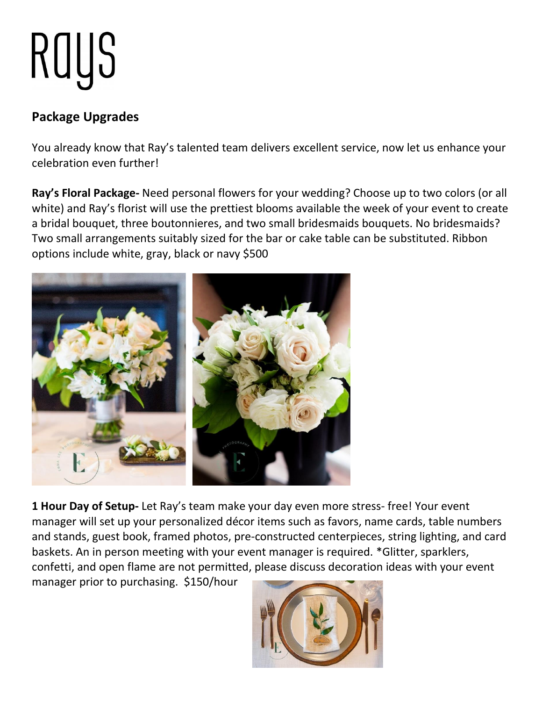## ROYS

## **Package Upgrades**

You already know that Ray's talented team delivers excellent service, now let us enhance your celebration even further!

**Ray's Floral Package-** Need personal flowers for your wedding? Choose up to two colors (or all white) and Ray's florist will use the prettiest blooms available the week of your event to create a bridal bouquet, three boutonnieres, and two small bridesmaids bouquets. No bridesmaids? Two small arrangements suitably sized for the bar or cake table can be substituted. Ribbon options include white, gray, black or navy \$500



**1 Hour Day of Setup-** Let Ray's team make your day even more stress- free! Your event manager will set up your personalized décor items such as favors, name cards, table numbers and stands, guest book, framed photos, pre-constructed centerpieces, string lighting, and card baskets. An in person meeting with your event manager is required. \*Glitter, sparklers, confetti, and open flame are not permitted, please discuss decoration ideas with your event manager prior to purchasing. \$150/hour

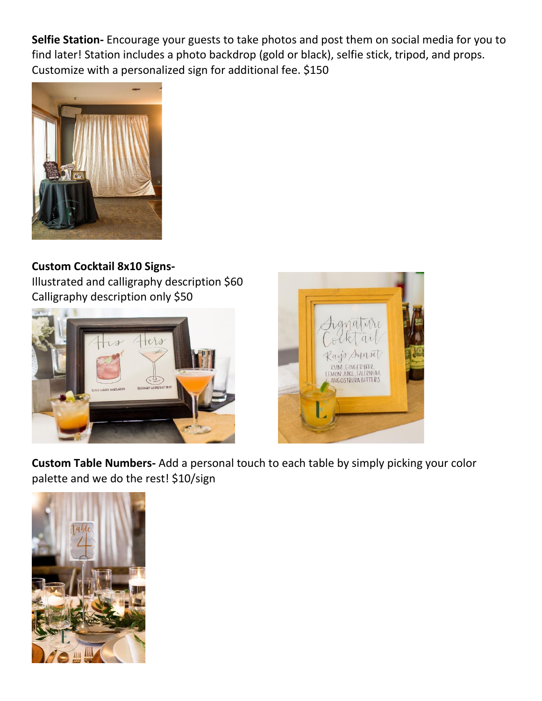**Selfie Station-** Encourage your guests to take photos and post them on social media for you to find later! Station includes a photo backdrop (gold or black), selfie stick, tripod, and props. Customize with a personalized sign for additional fee. \$150



**Custom Cocktail 8x10 Signs-**Illustrated and calligraphy description \$60 Calligraphy description only \$50





**Custom Table Numbers-** Add a personal touch to each table by simply picking your color palette and we do the rest! \$10/sign